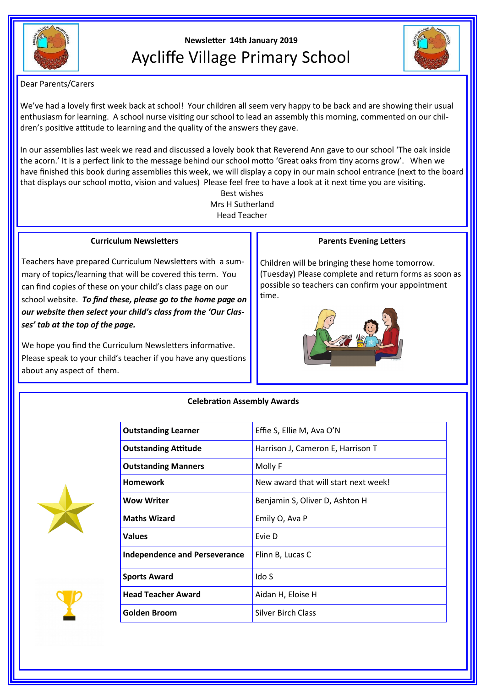

# **Newsletter 14th January 2019** Aycliffe Village Primary School



Dear Parents/Carers

We've had a lovely first week back at school! Your children all seem very happy to be back and are showing their usual enthusiasm for learning. A school nurse visiting our school to lead an assembly this morning, commented on our children's positive attitude to learning and the quality of the answers they gave.

In our assemblies last week we read and discussed a lovely book that Reverend Ann gave to our school 'The oak inside the acorn.' It is a perfect link to the message behind our school motto 'Great oaks from tiny acorns grow'. When we have finished this book during assemblies this week, we will display a copy in our main school entrance (next to the board that displays our school motto, vision and values) Please feel free to have a look at it next time you are visiting.

> Best wishes Mrs H Sutherland Head Teacher

#### **Curriculum Newsletters**

Teachers have prepared Curriculum Newsletters with a summary of topics/learning that will be covered this term. You can find copies of these on your child's class page on our school website. *To find these, please go to the home page on our website then select your child's class from the 'Our Classes' tab at the top of the page.*

We hope you find the Curriculum Newsletters informative. Please speak to your child's teacher if you have any questions about any aspect of them.

### **Parents Evening Letters**

Children will be bringing these home tomorrow. (Tuesday) Please complete and return forms as soon as possible so teachers can confirm your appointment time.





**Celebration Assembly Awards**

| <b>Outstanding Learner</b>           | Effie S, Ellie M, Ava O'N            |
|--------------------------------------|--------------------------------------|
| <b>Outstanding Attitude</b>          | Harrison J, Cameron E, Harrison T    |
| <b>Outstanding Manners</b>           | Molly F                              |
| <b>Homework</b>                      | New award that will start next week! |
| <b>Wow Writer</b>                    | Benjamin S, Oliver D, Ashton H       |
| <b>Maths Wizard</b>                  | Emily O, Ava P                       |
| <b>Values</b>                        | Evie D                               |
| <b>Independence and Perseverance</b> | Flinn B, Lucas C                     |
| <b>Sports Award</b>                  | Ido S                                |
| <b>Head Teacher Award</b>            | Aidan H, Eloise H                    |
| Golden Broom                         | <b>Silver Birch Class</b>            |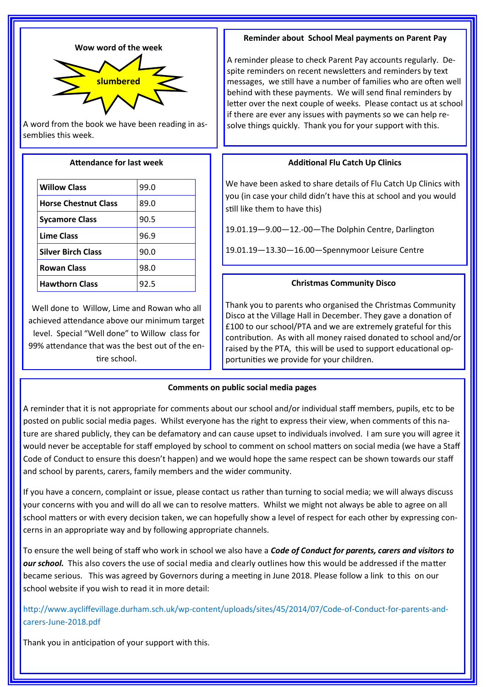



A word from the book we have been reading in assemblies this week.

## **Attendance for last week**

| <b>Willow Class</b>         | 99.0 |
|-----------------------------|------|
| <b>Horse Chestnut Class</b> | 89.0 |
| <b>Sycamore Class</b>       | 90.5 |
| <b>Lime Class</b>           | 96.9 |
| <b>Silver Birch Class</b>   | 90.0 |
| <b>Rowan Class</b>          | 98.0 |
| <b>Hawthorn Class</b>       | 92.5 |

Well done to Willow, Lime and Rowan who all achieved attendance above our minimum target level. Special "Well done" to Willow class for 99% attendance that was the best out of the entire school.

## **Reminder about School Meal payments on Parent Pay**

A reminder please to check Parent Pay accounts regularly. Despite reminders on recent newsletters and reminders by text messages, we still have a number of families who are often well behind with these payments. We will send final reminders by letter over the next couple of weeks. Please contact us at school if there are ever any issues with payments so we can help resolve things quickly. Thank you for your support with this.

# **Additional Flu Catch Up Clinics**

We have been asked to share details of Flu Catch Up Clinics with you (in case your child didn't have this at school and you would still like them to have this)

19.01.19—9.00—12.-00—The Dolphin Centre, Darlington

19.01.19—13.30—16.00—Spennymoor Leisure Centre

# **Christmas Community Disco**

Thank you to parents who organised the Christmas Community Disco at the Village Hall in December. They gave a donation of £100 to our school/PTA and we are extremely grateful for this contribution. As with all money raised donated to school and/or raised by the PTA, this will be used to support educational opportunities we provide for your children.

# **Comments on public social media pages**

A reminder that it is not appropriate for comments about our school and/or individual staff members, pupils, etc to be posted on public social media pages. Whilst everyone has the right to express their view, when comments of this nature are shared publicly, they can be defamatory and can cause upset to individuals involved. I am sure you will agree it would never be acceptable for staff employed by school to comment on school matters on social media (we have a Staff Code of Conduct to ensure this doesn't happen) and we would hope the same respect can be shown towards our staff and school by parents, carers, family members and the wider community.

If you have a concern, complaint or issue, please contact us rather than turning to social media; we will always discuss your concerns with you and will do all we can to resolve matters. Whilst we might not always be able to agree on all school matters or with every decision taken, we can hopefully show a level of respect for each other by expressing concerns in an appropriate way and by following appropriate channels.

To ensure the well being of staff who work in school we also have a *Code of Conduct for parents, carers and visitors to our school.* This also covers the use of social media and clearly outlines how this would be addressed if the matter became serious. This was agreed by Governors during a meeting in June 2018. Please follow a link to this on our school website if you wish to read it in more detail:

http://www.aycliffevillage.durham.sch.uk/wp-content/uploads/sites/45/2014/07/Code-of-Conduct-for-parents-andcarers-June-2018.pdf

Thank you in anticipation of your support with this.